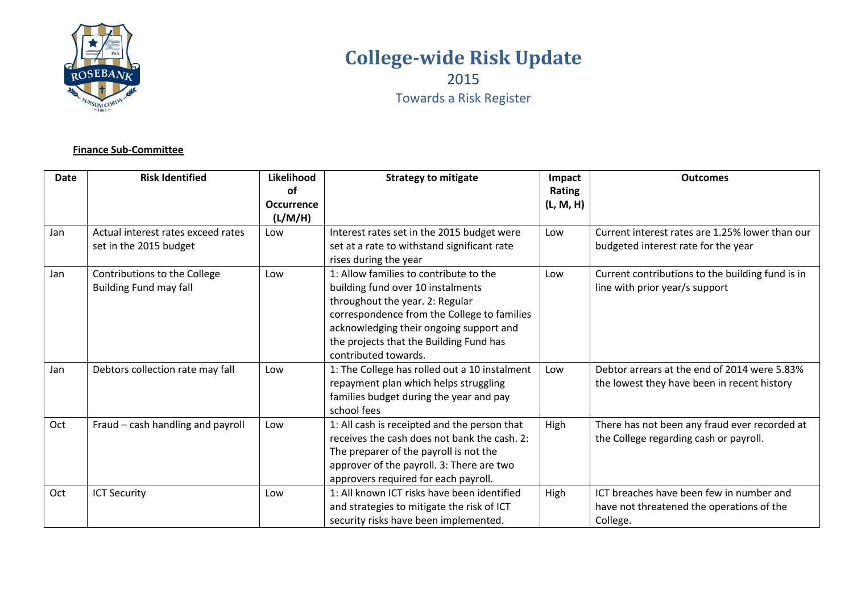

# **College-wide Risk Update**

2015

Towards a Risk Register

### **Finance Sub-Committee**

| <b>Date</b> | <b>Risk Identified</b>             | Likelihood        | <b>Strategy to mitigate</b>                   | Impact    | <b>Outcomes</b>                                  |
|-------------|------------------------------------|-------------------|-----------------------------------------------|-----------|--------------------------------------------------|
|             |                                    | 0f                |                                               | Rating    |                                                  |
|             |                                    | <b>Occurrence</b> |                                               | (L, M, H) |                                                  |
|             |                                    | (L/M/H)           |                                               |           |                                                  |
| Jan         | Actual interest rates exceed rates | Low               | Interest rates set in the 2015 budget were    | Low       | Current interest rates are 1.25% lower than our  |
|             | set in the 2015 budget             |                   | set at a rate to withstand significant rate   |           | budgeted interest rate for the year              |
|             |                                    |                   | rises during the year                         |           |                                                  |
| Jan         | Contributions to the College       | Low               | 1: Allow families to contribute to the        | Low       | Current contributions to the building fund is in |
|             | <b>Building Fund may fall</b>      |                   | building fund over 10 instalments             |           | line with prior year/s support                   |
|             |                                    |                   | throughout the year. 2: Regular               |           |                                                  |
|             |                                    |                   | correspondence from the College to families   |           |                                                  |
|             |                                    |                   | acknowledging their ongoing support and       |           |                                                  |
|             |                                    |                   | the projects that the Building Fund has       |           |                                                  |
|             |                                    |                   | contributed towards.                          |           |                                                  |
| Jan         | Debtors collection rate may fall   | Low               | 1: The College has rolled out a 10 instalment | Low       | Debtor arrears at the end of 2014 were 5.83%     |
|             |                                    |                   | repayment plan which helps struggling         |           | the lowest they have been in recent history      |
|             |                                    |                   | families budget during the year and pay       |           |                                                  |
|             |                                    |                   | school fees                                   |           |                                                  |
| Oct         | Fraud - cash handling and payroll  | Low               | 1: All cash is receipted and the person that  | High      | There has not been any fraud ever recorded at    |
|             |                                    |                   | receives the cash does not bank the cash. 2:  |           | the College regarding cash or payroll.           |
|             |                                    |                   | The preparer of the payroll is not the        |           |                                                  |
|             |                                    |                   | approver of the payroll. 3: There are two     |           |                                                  |
|             |                                    |                   | approvers required for each payroll.          |           |                                                  |
| Oct         | <b>ICT Security</b>                | Low               | 1: All known ICT risks have been identified   | High      | ICT breaches have been few in number and         |
|             |                                    |                   | and strategies to mitigate the risk of ICT    |           | have not threatened the operations of the        |
|             |                                    |                   | security risks have been implemented.         |           | College.                                         |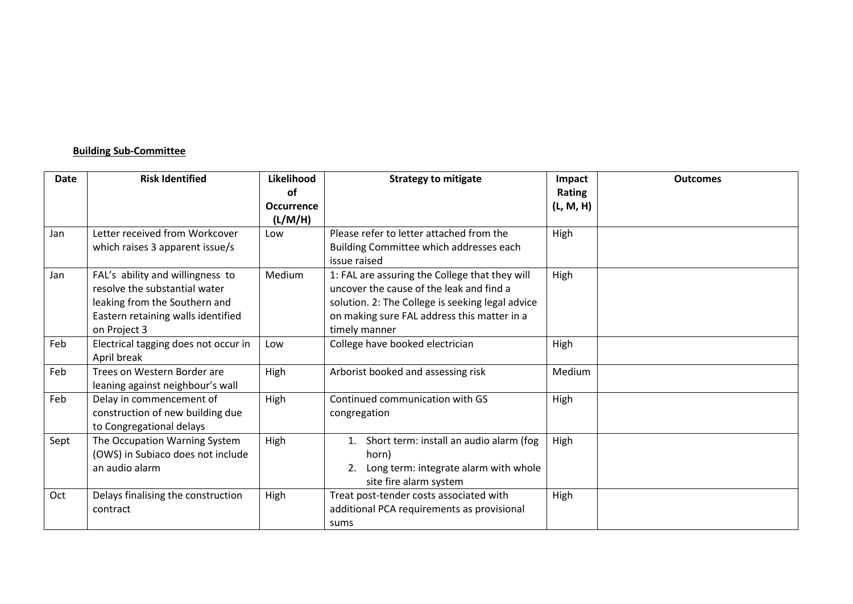# **Building Sub-Committee**

| Date | <b>Risk Identified</b>                                                                                                                                   | Likelihood<br><b>of</b><br><b>Occurrence</b> | <b>Strategy to mitigate</b>                                                                                                                                                                                    | Impact<br>Rating<br>(L, M, H) | <b>Outcomes</b> |
|------|----------------------------------------------------------------------------------------------------------------------------------------------------------|----------------------------------------------|----------------------------------------------------------------------------------------------------------------------------------------------------------------------------------------------------------------|-------------------------------|-----------------|
| Jan  | Letter received from Workcover<br>which raises 3 apparent issue/s                                                                                        | (L/M/H)<br>Low                               | Please refer to letter attached from the<br>Building Committee which addresses each<br>issue raised                                                                                                            | High                          |                 |
| Jan  | FAL's ability and willingness to<br>resolve the substantial water<br>leaking from the Southern and<br>Eastern retaining walls identified<br>on Project 3 | Medium                                       | 1: FAL are assuring the College that they will<br>uncover the cause of the leak and find a<br>solution. 2: The College is seeking legal advice<br>on making sure FAL address this matter in a<br>timely manner | High                          |                 |
| Feb  | Electrical tagging does not occur in<br>April break                                                                                                      | Low                                          | College have booked electrician                                                                                                                                                                                | High                          |                 |
| Feb  | Trees on Western Border are<br>leaning against neighbour's wall                                                                                          | High                                         | Arborist booked and assessing risk                                                                                                                                                                             | Medium                        |                 |
| Feb  | Delay in commencement of<br>construction of new building due<br>to Congregational delays                                                                 | High                                         | Continued communication with GS<br>congregation                                                                                                                                                                | High                          |                 |
| Sept | The Occupation Warning System<br>(OWS) in Subiaco does not include<br>an audio alarm                                                                     | High                                         | Short term: install an audio alarm (fog<br>horn)<br>Long term: integrate alarm with whole<br>site fire alarm system                                                                                            | High                          |                 |
| Oct  | Delays finalising the construction<br>contract                                                                                                           | High                                         | Treat post-tender costs associated with<br>additional PCA requirements as provisional<br>sums                                                                                                                  | High                          |                 |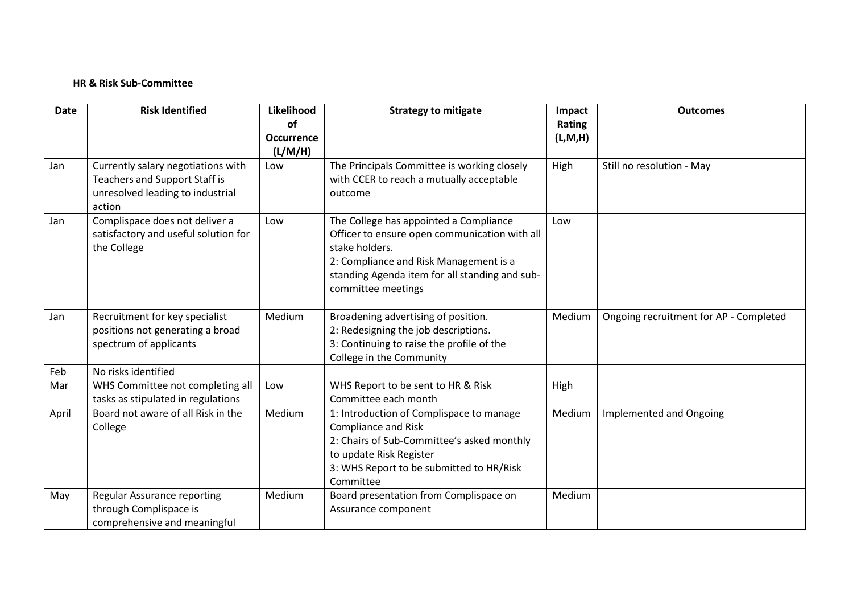#### **HR & Risk Sub-Committee**

| <b>Date</b> | <b>Risk Identified</b>                                            | Likelihood<br><b>of</b> | <b>Strategy to mitigate</b>                                           | Impact<br>Rating | <b>Outcomes</b>                        |
|-------------|-------------------------------------------------------------------|-------------------------|-----------------------------------------------------------------------|------------------|----------------------------------------|
|             |                                                                   | <b>Occurrence</b>       |                                                                       | (L, M, H)        |                                        |
|             |                                                                   | (L/M/H)                 |                                                                       |                  |                                        |
| Jan         | Currently salary negotiations with                                | Low                     | The Principals Committee is working closely                           | High             | Still no resolution - May              |
|             | Teachers and Support Staff is<br>unresolved leading to industrial |                         | with CCER to reach a mutually acceptable<br>outcome                   |                  |                                        |
|             | action                                                            |                         |                                                                       |                  |                                        |
| Jan         | Complispace does not deliver a                                    | Low                     | The College has appointed a Compliance                                | Low              |                                        |
|             | satisfactory and useful solution for                              |                         | Officer to ensure open communication with all<br>stake holders.       |                  |                                        |
|             | the College                                                       |                         | 2: Compliance and Risk Management is a                                |                  |                                        |
|             |                                                                   |                         | standing Agenda item for all standing and sub-                        |                  |                                        |
|             |                                                                   |                         | committee meetings                                                    |                  |                                        |
|             |                                                                   |                         |                                                                       |                  |                                        |
| Jan         | Recruitment for key specialist                                    | Medium                  | Broadening advertising of position.                                   | Medium           | Ongoing recruitment for AP - Completed |
|             | positions not generating a broad                                  |                         | 2: Redesigning the job descriptions.                                  |                  |                                        |
|             | spectrum of applicants                                            |                         | 3: Continuing to raise the profile of the<br>College in the Community |                  |                                        |
| Feb         | No risks identified                                               |                         |                                                                       |                  |                                        |
| Mar         | WHS Committee not completing all                                  | Low                     | WHS Report to be sent to HR & Risk                                    | High             |                                        |
|             | tasks as stipulated in regulations                                |                         | Committee each month                                                  |                  |                                        |
| April       | Board not aware of all Risk in the                                | Medium                  | 1: Introduction of Complispace to manage                              | Medium           | Implemented and Ongoing                |
|             | College                                                           |                         | <b>Compliance and Risk</b>                                            |                  |                                        |
|             |                                                                   |                         | 2: Chairs of Sub-Committee's asked monthly                            |                  |                                        |
|             |                                                                   |                         | to update Risk Register<br>3: WHS Report to be submitted to HR/Risk   |                  |                                        |
|             |                                                                   |                         | Committee                                                             |                  |                                        |
| May         | <b>Regular Assurance reporting</b>                                | Medium                  | Board presentation from Complispace on                                | Medium           |                                        |
|             | through Complispace is                                            |                         | Assurance component                                                   |                  |                                        |
|             | comprehensive and meaningful                                      |                         |                                                                       |                  |                                        |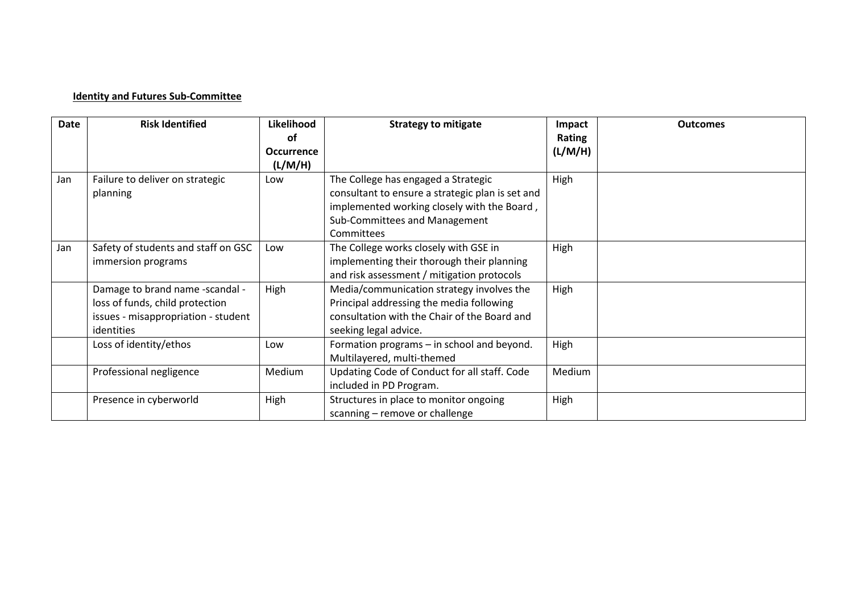## **Identity and Futures Sub-Committee**

| <b>Date</b> | <b>Risk Identified</b>              | Likelihood        | <b>Strategy to mitigate</b>                      | Impact  | <b>Outcomes</b> |
|-------------|-------------------------------------|-------------------|--------------------------------------------------|---------|-----------------|
|             |                                     | οf                |                                                  | Rating  |                 |
|             |                                     | <b>Occurrence</b> |                                                  | (L/M/H) |                 |
|             |                                     | (L/M/H)           |                                                  |         |                 |
| Jan         | Failure to deliver on strategic     | Low               | The College has engaged a Strategic              | High    |                 |
|             | planning                            |                   | consultant to ensure a strategic plan is set and |         |                 |
|             |                                     |                   | implemented working closely with the Board,      |         |                 |
|             |                                     |                   | Sub-Committees and Management                    |         |                 |
|             |                                     |                   | Committees                                       |         |                 |
| Jan         | Safety of students and staff on GSC | Low               | The College works closely with GSE in            | High    |                 |
|             | immersion programs                  |                   | implementing their thorough their planning       |         |                 |
|             |                                     |                   | and risk assessment / mitigation protocols       |         |                 |
|             | Damage to brand name -scandal -     | High              | Media/communication strategy involves the        | High    |                 |
|             | loss of funds, child protection     |                   | Principal addressing the media following         |         |                 |
|             | issues - misappropriation - student |                   | consultation with the Chair of the Board and     |         |                 |
|             | identities                          |                   | seeking legal advice.                            |         |                 |
|             | Loss of identity/ethos              | Low               | Formation programs – in school and beyond.       | High    |                 |
|             |                                     |                   | Multilayered, multi-themed                       |         |                 |
|             | Professional negligence             | Medium            | Updating Code of Conduct for all staff. Code     | Medium  |                 |
|             |                                     |                   | included in PD Program.                          |         |                 |
|             | Presence in cyberworld              | High              | Structures in place to monitor ongoing           | High    |                 |
|             |                                     |                   | scanning - remove or challenge                   |         |                 |